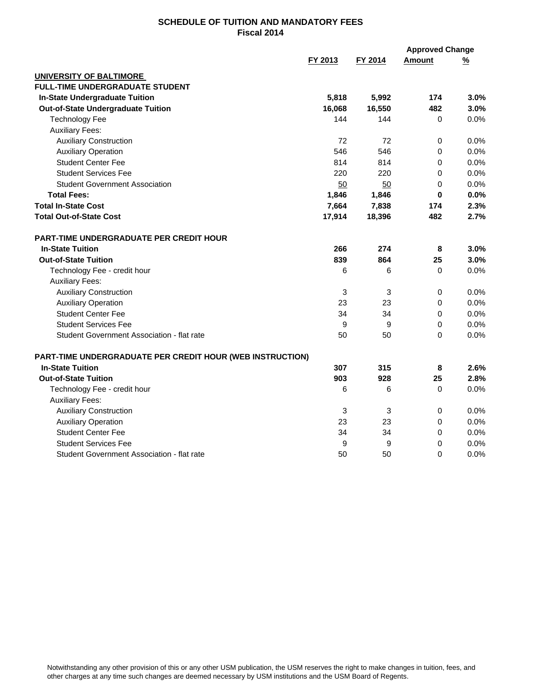|                                                           |         |         | <b>Approved Change</b> |               |
|-----------------------------------------------------------|---------|---------|------------------------|---------------|
|                                                           | FY 2013 | FY 2014 | <b>Amount</b>          | $\frac{9}{6}$ |
| <b>UNIVERSITY OF BALTIMORE</b>                            |         |         |                        |               |
| <b>FULL-TIME UNDERGRADUATE STUDENT</b>                    |         |         |                        |               |
| <b>In-State Undergraduate Tuition</b>                     | 5,818   | 5,992   | 174                    | 3.0%          |
| <b>Out-of-State Undergraduate Tuition</b>                 | 16,068  | 16,550  | 482                    | 3.0%          |
| <b>Technology Fee</b>                                     | 144     | 144     | 0                      | 0.0%          |
| <b>Auxiliary Fees:</b>                                    |         |         |                        |               |
| <b>Auxiliary Construction</b>                             | 72      | 72      | 0                      | 0.0%          |
| <b>Auxiliary Operation</b>                                | 546     | 546     | 0                      | 0.0%          |
| <b>Student Center Fee</b>                                 | 814     | 814     | 0                      | 0.0%          |
| <b>Student Services Fee</b>                               | 220     | 220     | 0                      | 0.0%          |
| <b>Student Government Association</b>                     | 50      | 50      | $\pmb{0}$              | 0.0%          |
| <b>Total Fees:</b>                                        | 1,846   | 1,846   | 0                      | 0.0%          |
| <b>Total In-State Cost</b>                                | 7,664   | 7,838   | 174                    | 2.3%          |
| <b>Total Out-of-State Cost</b>                            | 17,914  | 18,396  | 482                    | 2.7%          |
| <b>PART-TIME UNDERGRADUATE PER CREDIT HOUR</b>            |         |         |                        |               |
| <b>In-State Tuition</b>                                   | 266     | 274     | 8                      | 3.0%          |
| <b>Out-of-State Tuition</b>                               | 839     | 864     | 25                     | 3.0%          |
| Technology Fee - credit hour                              | 6       | 6       | 0                      | 0.0%          |
| <b>Auxiliary Fees:</b>                                    |         |         |                        |               |
| <b>Auxiliary Construction</b>                             | 3       | 3       | 0                      | 0.0%          |
| <b>Auxiliary Operation</b>                                | 23      | 23      | 0                      | 0.0%          |
| <b>Student Center Fee</b>                                 | 34      | 34      | 0                      | 0.0%          |
| <b>Student Services Fee</b>                               | 9       | 9       | 0                      | 0.0%          |
| Student Government Association - flat rate                | 50      | 50      | $\Omega$               | 0.0%          |
| PART-TIME UNDERGRADUATE PER CREDIT HOUR (WEB INSTRUCTION) |         |         |                        |               |
| <b>In-State Tuition</b>                                   | 307     | 315     | 8                      | 2.6%          |
| <b>Out-of-State Tuition</b>                               | 903     | 928     | 25                     | 2.8%          |
| Technology Fee - credit hour                              | 6       | 6       | 0                      | 0.0%          |
| <b>Auxiliary Fees:</b>                                    |         |         |                        |               |
| <b>Auxiliary Construction</b>                             | 3       | 3       | 0                      | 0.0%          |
| <b>Auxiliary Operation</b>                                | 23      | 23      | 0                      | 0.0%          |
| <b>Student Center Fee</b>                                 | 34      | 34      | 0                      | 0.0%          |
| <b>Student Services Fee</b>                               | 9       | 9       | 0                      | 0.0%          |
| Student Government Association - flat rate                | 50      | 50      | 0                      | 0.0%          |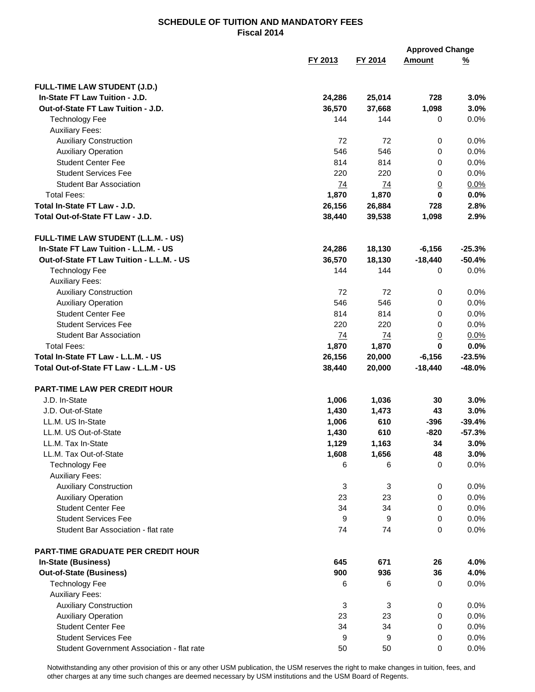|                                            |         |              | <b>Approved Change</b> |          |
|--------------------------------------------|---------|--------------|------------------------|----------|
|                                            | FY 2013 | FY 2014      | <b>Amount</b>          | <u>%</u> |
|                                            |         |              |                        |          |
| <b>FULL-TIME LAW STUDENT (J.D.)</b>        |         |              |                        |          |
| In-State FT Law Tuition - J.D.             | 24,286  | 25,014       | 728                    | 3.0%     |
| Out-of-State FT Law Tuition - J.D.         | 36,570  | 37,668       | 1,098                  | 3.0%     |
| <b>Technology Fee</b>                      | 144     | 144          | $\mathbf 0$            | 0.0%     |
| <b>Auxiliary Fees:</b>                     |         |              |                        |          |
| <b>Auxiliary Construction</b>              | 72      | 72           | 0                      | 0.0%     |
| <b>Auxiliary Operation</b>                 | 546     | 546          | 0                      | 0.0%     |
| <b>Student Center Fee</b>                  | 814     | 814          | 0                      | 0.0%     |
| <b>Student Services Fee</b>                | 220     | 220          | 0                      | 0.0%     |
| <b>Student Bar Association</b>             | 74      | 74           | $\underline{0}$        | 0.0%     |
| <b>Total Fees:</b>                         | 1,870   | 1,870        | 0                      | 0.0%     |
| Total In-State FT Law - J.D.               | 26,156  | 26,884       | 728                    | 2.8%     |
| Total Out-of-State FT Law - J.D.           | 38,440  | 39,538       | 1,098                  | 2.9%     |
| FULL-TIME LAW STUDENT (L.L.M. - US)        |         |              |                        |          |
| In-State FT Law Tuition - L.L.M. - US      | 24,286  | 18,130       | $-6,156$               | $-25.3%$ |
| Out-of-State FT Law Tuition - L.L.M. - US  | 36,570  | 18,130       | $-18,440$              | $-50.4%$ |
| <b>Technology Fee</b>                      | 144     | 144          | 0                      | 0.0%     |
| <b>Auxiliary Fees:</b>                     |         |              |                        |          |
| <b>Auxiliary Construction</b>              | 72      | 72           | 0                      | 0.0%     |
| <b>Auxiliary Operation</b>                 | 546     | 546          | 0                      | 0.0%     |
| <b>Student Center Fee</b>                  | 814     | 814          | 0                      | 0.0%     |
| <b>Student Services Fee</b>                | 220     | 220          | 0                      | 0.0%     |
| <b>Student Bar Association</b>             | 74      | 74           | $\overline{0}$         | 0.0%     |
| <b>Total Fees:</b>                         | 1,870   | 1,870        | $\bf{0}$               | 0.0%     |
| Total In-State FT Law - L.L.M. - US        | 26,156  | 20,000       | $-6,156$               | $-23.5%$ |
| Total Out-of-State FT Law - L.L.M - US     | 38,440  | 20,000       | $-18,440$              | $-48.0%$ |
| <b>PART-TIME LAW PER CREDIT HOUR</b>       |         |              |                        |          |
| J.D. In-State                              | 1,006   | 1,036        | 30                     | 3.0%     |
| J.D. Out-of-State                          | 1,430   | 1,473        | 43                     | 3.0%     |
| LL.M. US In-State                          | 1,006   | 610          | $-396$                 | $-39.4%$ |
| LL.M. US Out-of-State                      | 1,430   | 610          | $-820$                 | $-57.3%$ |
| LL.M. Tax In-State                         | 1,129   | 1,163        | 34                     | 3.0%     |
| LL.M. Tax Out-of-State                     | 1,608   | 1,656        | 48                     | 3.0%     |
| <b>Technology Fee</b>                      | 6       | 6            | 0                      | 0.0%     |
| <b>Auxiliary Fees:</b>                     |         |              |                        |          |
| <b>Auxiliary Construction</b>              | 3       | $\mathbf{3}$ | 0                      | 0.0%     |
| <b>Auxiliary Operation</b>                 | 23      | 23           | 0                      | 0.0%     |
| <b>Student Center Fee</b>                  | 34      | 34           | 0                      | 0.0%     |
| <b>Student Services Fee</b>                | 9       | 9            | 0                      | 0.0%     |
| Student Bar Association - flat rate        | 74      | 74           | 0                      | 0.0%     |
|                                            |         |              |                        |          |
| <b>PART-TIME GRADUATE PER CREDIT HOUR</b>  |         |              |                        |          |
| In-State (Business)                        | 645     | 671          | 26                     | 4.0%     |
| <b>Out-of-State (Business)</b>             | 900     | 936          | 36                     | 4.0%     |
| <b>Technology Fee</b>                      | 6       | 6            | 0                      | 0.0%     |
| <b>Auxiliary Fees:</b>                     |         |              |                        |          |
| <b>Auxiliary Construction</b>              | 3       | 3            | 0                      | 0.0%     |
| <b>Auxiliary Operation</b>                 | 23      | 23           | 0                      | 0.0%     |
| <b>Student Center Fee</b>                  | 34      | 34           | 0                      | 0.0%     |
| <b>Student Services Fee</b>                | 9       | 9            | 0                      | 0.0%     |
| Student Government Association - flat rate | 50      | 50           | 0                      | 0.0%     |

Notwithstanding any other provision of this or any other USM publication, the USM reserves the right to make changes in tuition, fees, and other charges at any time such changes are deemed necessary by USM institutions and the USM Board of Regents.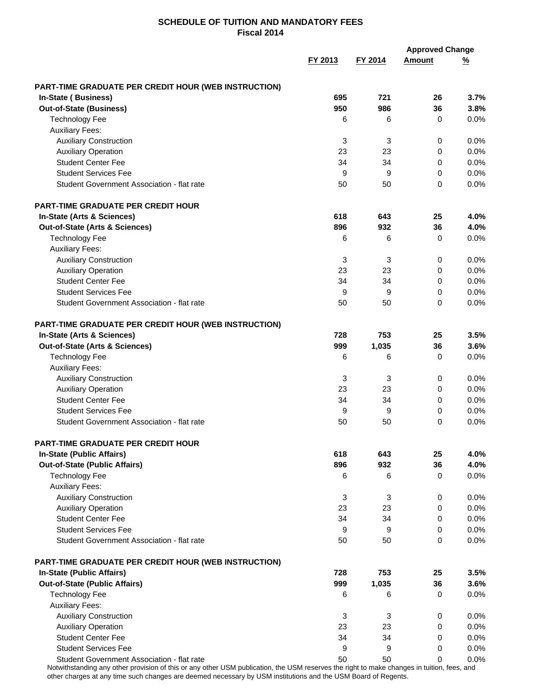|                                                      |                           |         | <b>Approved Change</b> |               |
|------------------------------------------------------|---------------------------|---------|------------------------|---------------|
|                                                      | FY 2013                   | FY 2014 | <b>Amount</b>          | $\frac{9}{6}$ |
| PART-TIME GRADUATE PER CREDIT HOUR (WEB INSTRUCTION) |                           |         |                        |               |
| In-State (Business)                                  | 695                       | 721     | 26                     | 3.7%          |
| <b>Out-of-State (Business)</b>                       | 950                       | 986     | 36                     | 3.8%          |
| <b>Technology Fee</b>                                | 6                         | 6       | 0                      | 0.0%          |
| <b>Auxiliary Fees:</b>                               |                           |         |                        |               |
| <b>Auxiliary Construction</b>                        | 3                         | 3       | 0                      | 0.0%          |
| <b>Auxiliary Operation</b>                           | 23                        | 23      | $\mathbf 0$            | 0.0%          |
| <b>Student Center Fee</b>                            | 34                        | 34      | 0                      | 0.0%          |
| <b>Student Services Fee</b>                          | 9                         | 9       | $\mathbf 0$            | 0.0%          |
| Student Government Association - flat rate           | 50                        | 50      | 0                      | 0.0%          |
| <b>PART-TIME GRADUATE PER CREDIT HOUR</b>            |                           |         |                        |               |
| In-State (Arts & Sciences)                           | 618                       | 643     | 25                     | 4.0%          |
| Out-of-State (Arts & Sciences)                       | 896                       | 932     | 36                     | 4.0%          |
| <b>Technology Fee</b>                                | 6                         | 6       | 0                      | 0.0%          |
| <b>Auxiliary Fees:</b>                               |                           |         |                        |               |
| <b>Auxiliary Construction</b>                        | 3                         | 3       | 0                      | 0.0%          |
| <b>Auxiliary Operation</b>                           | 23                        | 23      | 0                      | 0.0%          |
| <b>Student Center Fee</b>                            | 34                        | 34      | 0                      | 0.0%          |
| <b>Student Services Fee</b>                          | 9                         | 9       | 0                      | 0.0%          |
| Student Government Association - flat rate           | 50                        | 50      | 0                      | 0.0%          |
| PART-TIME GRADUATE PER CREDIT HOUR (WEB INSTRUCTION) |                           |         |                        |               |
| In-State (Arts & Sciences)                           | 728                       | 753     | 25                     | 3.5%          |
| Out-of-State (Arts & Sciences)                       | 999                       | 1,035   | 36                     | 3.6%          |
| <b>Technology Fee</b>                                | 6                         | 6       | 0                      | 0.0%          |
| <b>Auxiliary Fees:</b>                               |                           |         |                        |               |
| <b>Auxiliary Construction</b>                        | 3                         | 3       | 0                      | 0.0%          |
| <b>Auxiliary Operation</b>                           | 23                        | 23      | 0                      | 0.0%          |
| <b>Student Center Fee</b>                            | 34                        | 34      | 0                      | 0.0%          |
| <b>Student Services Fee</b>                          | 9                         | 9       | $\mathbf 0$            | 0.0%          |
| Student Government Association - flat rate           | 50                        | 50      | 0                      | 0.0%          |
| PART-TIME GRADUATE PER CREDIT HOUR                   |                           |         |                        |               |
| <b>In-State (Public Affairs)</b>                     | 618                       | 643     | 25                     | 4.0%          |
| <b>Out-of-State (Public Affairs)</b>                 | 896                       | 932     | 36                     | 4.0%          |
| <b>Technology Fee</b>                                | 6                         | 6       | 0                      | 0.0%          |
| <b>Auxiliary Fees:</b>                               |                           |         |                        |               |
| <b>Auxiliary Construction</b>                        | $\ensuremath{\mathsf{3}}$ | 3       | 0                      | 0.0%          |
| <b>Auxiliary Operation</b>                           | 23                        | 23      | 0                      | 0.0%          |
| <b>Student Center Fee</b>                            | 34                        | 34      | 0                      | 0.0%          |
| <b>Student Services Fee</b>                          | 9                         | 9       | 0                      | 0.0%          |
| Student Government Association - flat rate           | 50                        | 50      | 0                      | 0.0%          |
| PART-TIME GRADUATE PER CREDIT HOUR (WEB INSTRUCTION) |                           |         |                        |               |
| <b>In-State (Public Affairs)</b>                     | 728                       | 753     | 25                     | 3.5%          |
| <b>Out-of-State (Public Affairs)</b>                 | 999                       | 1,035   | 36                     | 3.6%          |
| <b>Technology Fee</b>                                | 6                         | 6       | 0                      | 0.0%          |
| <b>Auxiliary Fees:</b>                               |                           |         |                        |               |
| <b>Auxiliary Construction</b>                        | 3                         | 3       | 0                      | 0.0%          |
| <b>Auxiliary Operation</b>                           | 23                        | 23      | 0                      | 0.0%          |
| <b>Student Center Fee</b>                            | 34                        | 34      | 0                      | 0.0%          |
| <b>Student Services Fee</b>                          | 9                         | 9       | 0                      | 0.0%          |
| Student Government Association - flat rate           | 50                        | 50      | 0                      | 0.0%          |

Notwithstanding any other provision of this or any other USM publication, the USM reserves the right to make changes in tuition, fees, and other charges at any time such changes are deemed necessary by USM institutions and the USM Board of Regents.